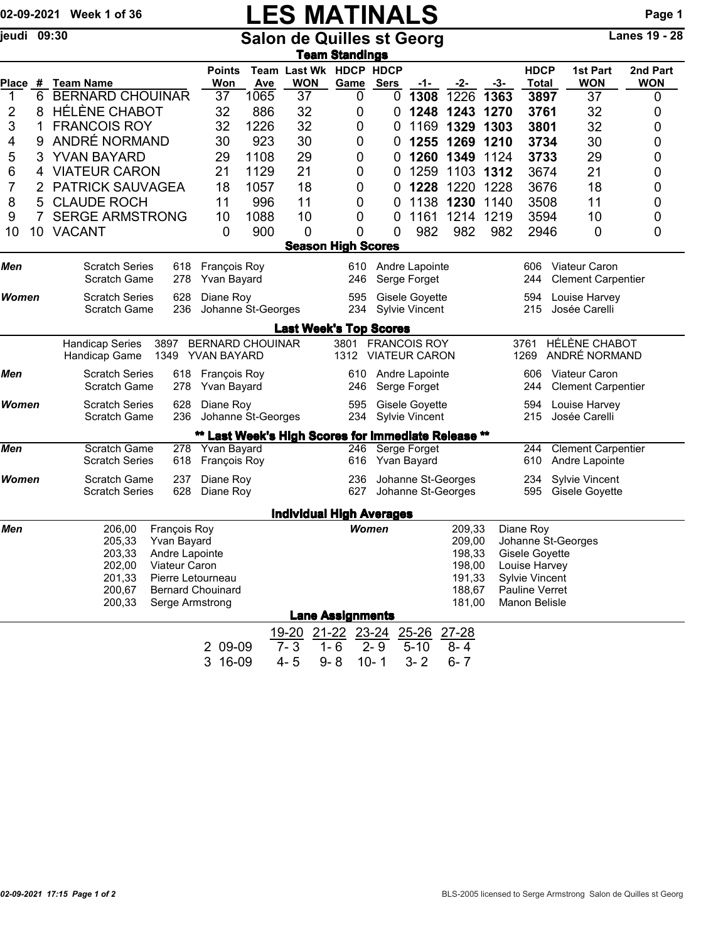## 02-09-2021 Week 1 of 36 **LES MATINALS** Page 1

jeudi 09:30 Salon de Quilles st Georg Lanes 19 - 28

|              |   |                                                                  |                                                            |                                                     |                                                           | <u>Team Standings</u>        |             |                                             |                      |                |                                      |                                                   |                        |  |  |
|--------------|---|------------------------------------------------------------------|------------------------------------------------------------|-----------------------------------------------------|-----------------------------------------------------------|------------------------------|-------------|---------------------------------------------|----------------------|----------------|--------------------------------------|---------------------------------------------------|------------------------|--|--|
| Place #      |   | <b>Team Name</b>                                                 | <b>Points</b><br>Won                                       | <b>Ave</b>                                          | Team Last Wk HDCP HDCP<br><b>WON</b>                      | Game                         | <b>Sers</b> | -1-                                         | -2-                  | -3-            | <b>HDCP</b><br><b>Total</b>          | 1st Part<br><b>WON</b>                            | 2nd Part<br><b>WON</b> |  |  |
| 1            | 6 | <b>BERNARD CHOUINAR</b>                                          | 37                                                         | 1065                                                | 37                                                        | 0                            | 0           | 1308                                        | 1226                 | 1363           | 3897                                 | 37                                                | 0                      |  |  |
| 2            | 8 | <b>HÉLÈNE CHABOT</b>                                             | 32                                                         | 886                                                 | 32                                                        | 0                            | 0           | 1248                                        | 1243 1270            |                | 3761                                 | 32                                                | 0                      |  |  |
| 3            | 1 | <b>FRANCOIS ROY</b>                                              | 32                                                         | 1226                                                | 32                                                        | 0                            | 0           | 1169                                        | 1329                 | 1303           | 3801                                 | 32                                                | 0                      |  |  |
| 4            | 9 | ANDRÉ NORMAND                                                    | 30                                                         | 923                                                 | 30                                                        | 0                            | 0           | 1255                                        | 1269                 | 1210           | 3734                                 | 30                                                | 0                      |  |  |
| 5            | 3 | YVAN BAYARD                                                      | 29                                                         | 1108                                                | 29                                                        | 0                            | 0           |                                             | 1260 1349            | 1124           | 3733                                 | 29                                                | 0                      |  |  |
| 6            | 4 | <b>VIATEUR CARON</b>                                             | 21                                                         | 1129                                                | 21                                                        | 0                            | 0           | 1259                                        | 1103                 | 1312           | 3674                                 | 21                                                | 0                      |  |  |
| 7            | 2 | PATRICK SAUVAGEA                                                 | 18<br>1057<br>18<br>1228<br>1220<br>1228<br>3676<br>0<br>0 |                                                     | 18                                                        | 0                            |             |                                             |                      |                |                                      |                                                   |                        |  |  |
| 8            | 5 | <b>CLAUDE ROCH</b>                                               | 11                                                         | 996<br>11<br>1138<br>1230<br>3508<br>0<br>1140<br>0 |                                                           | 11                           | 0           |                                             |                      |                |                                      |                                                   |                        |  |  |
| 9            | 7 | <b>SERGE ARMSTRONG</b>                                           | 10                                                         | 1088                                                | 10                                                        | 0                            | 0           | 1161                                        | 1214                 | 1219           | 3594                                 | 10                                                | 0                      |  |  |
| 10           |   | 10 VACANT                                                        | 0                                                          | 900                                                 | 0                                                         | 0                            | 0           | 982                                         | 982                  | 982            | 2946                                 | 0                                                 | 0                      |  |  |
|              |   |                                                                  |                                                            |                                                     | <b>Season High Scores</b>                                 |                              |             |                                             |                      |                |                                      |                                                   |                        |  |  |
| Men          |   | <b>Scratch Series</b><br>618                                     | François Roy                                               |                                                     |                                                           | 610                          |             | Andre Lapointe                              |                      |                | 606                                  | <b>Viateur Caron</b>                              |                        |  |  |
|              |   | 278<br><b>Scratch Game</b>                                       | Yvan Bayard                                                |                                                     |                                                           | 246                          |             | Serge Forget                                |                      |                | 244                                  | <b>Clement Carpentier</b>                         |                        |  |  |
| <b>Women</b> |   | <b>Scratch Series</b><br>628<br>236<br>Scratch Game              | Diane Roy<br>Johanne St-Georges                            |                                                     |                                                           | 595<br>234                   |             | Gisele Goyette<br><b>Sylvie Vincent</b>     |                      |                | 594<br>215                           | Louise Harvey<br>Josée Carelli                    |                        |  |  |
|              |   |                                                                  |                                                            |                                                     | <b>Last Week's Top Scores</b>                             |                              |             |                                             |                      |                |                                      |                                                   |                        |  |  |
|              |   | <b>Handicap Series</b><br>3897<br>Handicap Game<br>1349          | <b>BERNARD CHOUINAR</b><br>YVAN BAYARD                     |                                                     |                                                           | 3801<br>1312                 |             | <b>FRANCOIS ROY</b><br><b>VIATEUR CARON</b> |                      |                | 3761<br>1269                         | HÉLÈNE CHABOT<br>ANDRÉ NORMAND                    |                        |  |  |
| Men          |   | <b>Scratch Series</b><br>618<br><b>Scratch Game</b><br>278       | François Roy<br>Yvan Bayard                                |                                                     |                                                           | 610<br>246                   |             | Andre Lapointe<br>Serge Forget              |                      |                | 606<br>244                           | <b>Viateur Caron</b><br><b>Clement Carpentier</b> |                        |  |  |
| Women        |   | <b>Scratch Series</b><br>628<br>236<br>Scratch Game              | Diane Roy<br>Johanne St-Georges                            |                                                     |                                                           | 595<br>234                   |             | Gisele Goyette<br>Sylvie Vincent            |                      |                | 594<br>215                           | Louise Harvey<br>Josée Carelli                    |                        |  |  |
|              |   |                                                                  |                                                            |                                                     | ** Last Week's High Scores for Immediate Release **       |                              |             |                                             |                      |                |                                      |                                                   |                        |  |  |
| Men          |   | $\overline{278}$<br>Scratch Game<br><b>Scratch Series</b><br>618 | Yvan Bayard<br>François Roy                                |                                                     |                                                           | 616                          |             | 246 Serge Forget<br>Yvan Bayard             |                      |                | 244<br>610                           | <b>Clement Carpentier</b><br>Andre Lapointe       |                        |  |  |
| Women        |   | <b>Scratch Game</b><br>237<br>628<br><b>Scratch Series</b>       | Diane Roy<br>Diane Roy                                     |                                                     |                                                           | 236<br>627                   |             | Johanne St-Georges<br>Johanne St-Georges    |                      |                | 234<br>595                           | <b>Sylvie Vincent</b><br>Gisele Goyette           |                        |  |  |
|              |   |                                                                  |                                                            |                                                     |                                                           |                              |             |                                             |                      |                |                                      |                                                   |                        |  |  |
| Men          |   | François Roy<br>206,00                                           |                                                            |                                                     | <b>Individual High Averages</b><br><b>Women</b><br>209,33 |                              |             |                                             |                      |                | Diane Roy                            |                                                   |                        |  |  |
|              |   | 205,33<br>Yvan Bayard<br>203,33<br>Andre Lapointe                |                                                            |                                                     | 209,00<br>198,33                                          |                              |             |                                             |                      |                | Johanne St-Georges<br>Gisele Goyette |                                                   |                        |  |  |
|              |   | 202,00<br>Viateur Caron                                          |                                                            |                                                     |                                                           |                              |             |                                             | 198,00               |                | Louise Harvey                        |                                                   |                        |  |  |
|              |   | 201,33                                                           | Pierre Letourneau                                          |                                                     |                                                           |                              |             |                                             | 191,33               |                | <b>Sylvie Vincent</b>                |                                                   |                        |  |  |
|              |   | 200,67                                                           | <b>Bernard Chouinard</b>                                   | 188,67                                              |                                                           |                              |             |                                             |                      | Pauline Verret |                                      |                                                   |                        |  |  |
|              |   | Serge Armstrong<br>200,33                                        |                                                            |                                                     |                                                           | <b>Lane Assignments</b>      |             |                                             | 181,00               |                | Manon Belisle                        |                                                   |                        |  |  |
|              |   |                                                                  |                                                            |                                                     |                                                           |                              |             |                                             |                      |                |                                      |                                                   |                        |  |  |
|              |   |                                                                  |                                                            |                                                     | $19 - 20$<br>$7 - 3$                                      | 21-22 23-24 25-26<br>$1 - 6$ | $2 - 9$     | $5 - 10$                                    | $27 - 28$<br>$8 - 4$ |                |                                      |                                                   |                        |  |  |
|              |   |                                                                  | 2 09-09<br>3 16-09                                         |                                                     | $4 - 5$                                                   | $9 - 8$                      |             |                                             |                      |                |                                      |                                                   |                        |  |  |
|              |   |                                                                  |                                                            |                                                     |                                                           |                              | $10 - 1$    | $3 - 2$                                     | $6 - 7$              |                |                                      |                                                   |                        |  |  |